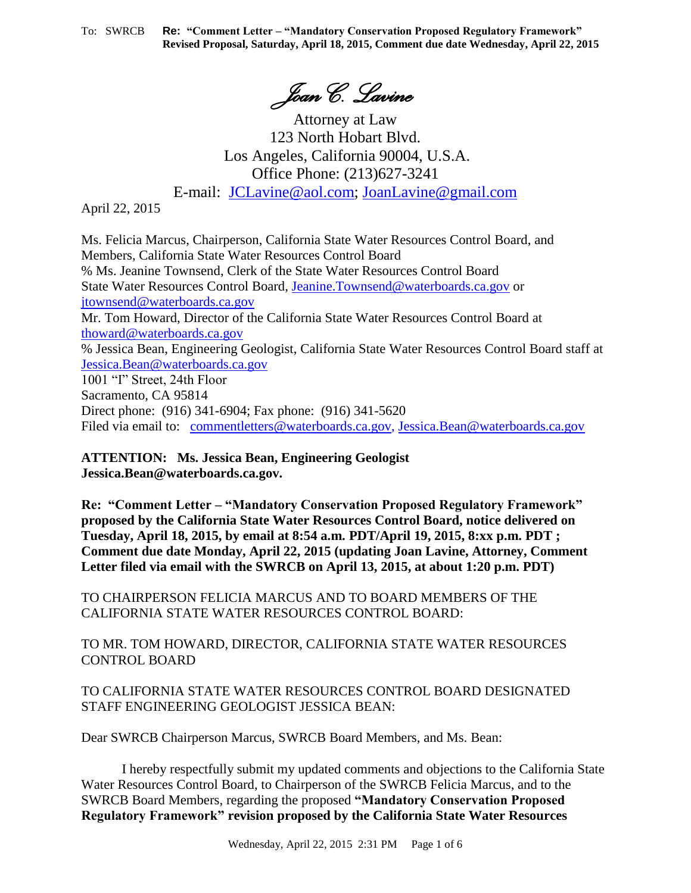*Joan C. Lavine*

Attorney at Law 123 North Hobart Blvd. Los Angeles, California 90004, U.S.A. Office Phone: (213)627-3241 E-mail: [JCLavine@aol.com;](mailto:JCLavine@aol.com) [JoanLavine@gmail.com](mailto:JoanLavine@gmail.com)

April 22, 2015

Ms. Felicia Marcus, Chairperson, California State Water Resources Control Board, and Members, California State Water Resources Control Board % Ms. Jeanine Townsend, Clerk of the State Water Resources Control Board State Water Resources Control Board, [Jeanine.Townsend@waterboards.ca.gov](mailto:Jeanine.Townsend@waterboards.ca.gov) or [jtownsend@waterboards.ca.gov](mailto:jtownsend@waterboards.ca.gov) Mr. Tom Howard, Director of the California State Water Resources Control Board at [thoward@waterboards.ca.gov](mailto:thoward@waterboards.ca.gov) % Jessica Bean, Engineering Geologist, California State Water Resources Control Board staff at [Jessica.Bean@waterboards.ca.gov](mailto:Jessica.Bean@waterboards.ca.gov) 1001 "I" Street, 24th Floor Sacramento, CA 95814 Direct phone: (916) 341-6904; Fax phone: (916) 341-5620 Filed via email to: [commentletters@waterboards.ca.gov,](mailto:commentletters@waterboards.ca.gov) [Jessica.Bean@waterboards.ca.gov](mailto:Jessica.Bean@waterboards.ca.gov)

**ATTENTION: Ms. Jessica Bean, Engineering Geologist Jessica.Bean@waterboards.ca.gov.**

**Re: "Comment Letter – "Mandatory Conservation Proposed Regulatory Framework" proposed by the California State Water Resources Control Board, notice delivered on Tuesday, April 18, 2015, by email at 8:54 a.m. PDT/April 19, 2015, 8:xx p.m. PDT ; Comment due date Monday, April 22, 2015 (updating Joan Lavine, Attorney, Comment Letter filed via email with the SWRCB on April 13, 2015, at about 1:20 p.m. PDT)**

TO CHAIRPERSON FELICIA MARCUS AND TO BOARD MEMBERS OF THE CALIFORNIA STATE WATER RESOURCES CONTROL BOARD:

TO MR. TOM HOWARD, DIRECTOR, CALIFORNIA STATE WATER RESOURCES CONTROL BOARD

TO CALIFORNIA STATE WATER RESOURCES CONTROL BOARD DESIGNATED STAFF ENGINEERING GEOLOGIST JESSICA BEAN:

Dear SWRCB Chairperson Marcus, SWRCB Board Members, and Ms. Bean:

I hereby respectfully submit my updated comments and objections to the California State Water Resources Control Board, to Chairperson of the SWRCB Felicia Marcus, and to the SWRCB Board Members, regarding the proposed **"Mandatory Conservation Proposed Regulatory Framework" revision proposed by the California State Water Resources**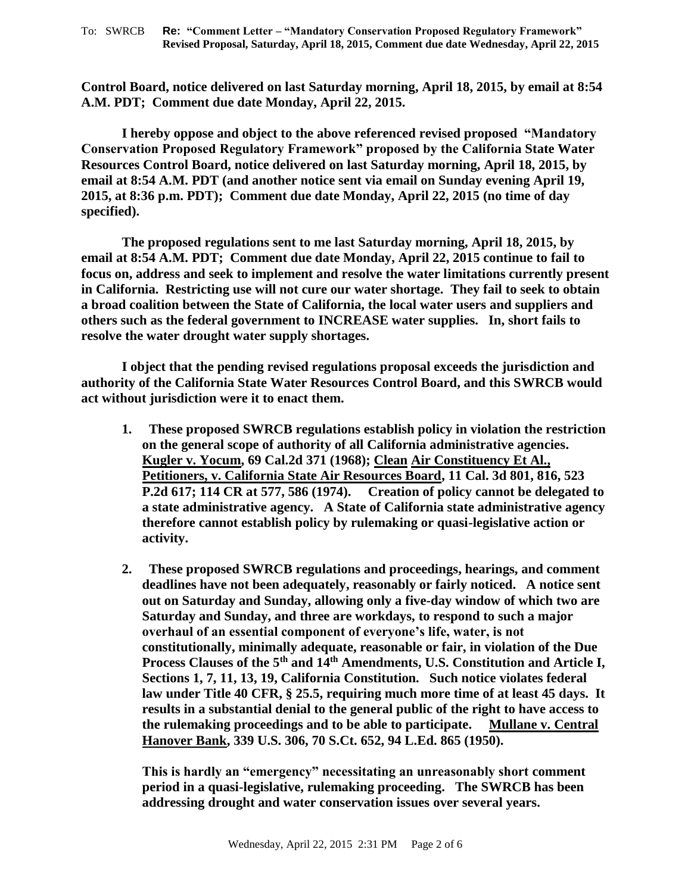**Control Board, notice delivered on last Saturday morning, April 18, 2015, by email at 8:54 A.M. PDT; Comment due date Monday, April 22, 2015.**

**I hereby oppose and object to the above referenced revised proposed "Mandatory Conservation Proposed Regulatory Framework" proposed by the California State Water Resources Control Board, notice delivered on last Saturday morning, April 18, 2015, by email at 8:54 A.M. PDT (and another notice sent via email on Sunday evening April 19, 2015, at 8:36 p.m. PDT); Comment due date Monday, April 22, 2015 (no time of day specified).** 

**The proposed regulations sent to me last Saturday morning, April 18, 2015, by email at 8:54 A.M. PDT; Comment due date Monday, April 22, 2015 continue to fail to focus on, address and seek to implement and resolve the water limitations currently present in California. Restricting use will not cure our water shortage. They fail to seek to obtain a broad coalition between the State of California, the local water users and suppliers and others such as the federal government to INCREASE water supplies. In, short fails to resolve the water drought water supply shortages.**

**I object that the pending revised regulations proposal exceeds the jurisdiction and authority of the California State Water Resources Control Board, and this SWRCB would act without jurisdiction were it to enact them.** 

- **1. These proposed SWRCB regulations establish policy in violation the restriction on the general scope of authority of all California administrative agencies. Kugler v. Yocum, 69 Cal.2d 371 (1968); Clean Air Constituency Et Al., Petitioners, v. California State Air Resources Board, 11 Cal. 3d 801, 816, 523 P.2d 617; 114 CR at 577, 586 (1974). Creation of policy cannot be delegated to a state administrative agency. A State of California state administrative agency therefore cannot establish policy by rulemaking or quasi-legislative action or activity.**
- **2. These proposed SWRCB regulations and proceedings, hearings, and comment deadlines have not been adequately, reasonably or fairly noticed. A notice sent out on Saturday and Sunday, allowing only a five-day window of which two are Saturday and Sunday, and three are workdays, to respond to such a major overhaul of an essential component of everyone's life, water, is not constitutionally, minimally adequate, reasonable or fair, in violation of the Due Process Clauses of the 5th and 14th Amendments, U.S. Constitution and Article I, Sections 1, 7, 11, 13, 19, California Constitution. Such notice violates federal law under Title 40 CFR, § 25.5, requiring much more time of at least 45 days. It results in a substantial denial to the general public of the right to have access to the rulemaking proceedings and to be able to participate. Mullane v. Central Hanover Bank, 339 U.S. 306, 70 S.Ct. 652, 94 L.Ed. 865 (1950).**

**This is hardly an "emergency" necessitating an unreasonably short comment period in a quasi-legislative, rulemaking proceeding. The SWRCB has been addressing drought and water conservation issues over several years.**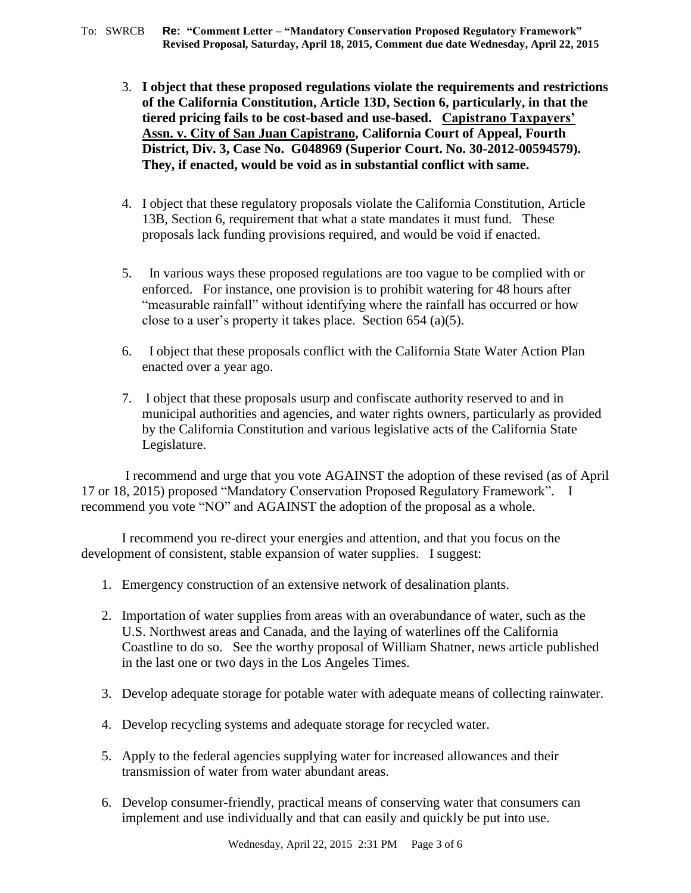- 3. **I object that these proposed regulations violate the requirements and restrictions of the California Constitution, Article 13D, Section 6, particularly, in that the tiered pricing fails to be cost-based and use-based. Capistrano Taxpayers' Assn. v. City of San Juan Capistrano, California Court of Appeal, Fourth District, Div. 3, Case No. G048969 (Superior Court. No. 30-2012-00594579). They, if enacted, would be void as in substantial conflict with same.**
- 4. I object that these regulatory proposals violate the California Constitution, Article 13B, Section 6, requirement that what a state mandates it must fund. These proposals lack funding provisions required, and would be void if enacted.
- 5. In various ways these proposed regulations are too vague to be complied with or enforced. For instance, one provision is to prohibit watering for 48 hours after "measurable rainfall" without identifying where the rainfall has occurred or how close to a user's property it takes place. Section 654 (a)(5).
- 6. I object that these proposals conflict with the California State Water Action Plan enacted over a year ago.
- 7. I object that these proposals usurp and confiscate authority reserved to and in municipal authorities and agencies, and water rights owners, particularly as provided by the California Constitution and various legislative acts of the California State Legislature.

I recommend and urge that you vote AGAINST the adoption of these revised (as of April 17 or 18, 2015) proposed "Mandatory Conservation Proposed Regulatory Framework". I recommend you vote "NO" and AGAINST the adoption of the proposal as a whole.

I recommend you re-direct your energies and attention, and that you focus on the development of consistent, stable expansion of water supplies. I suggest:

- 1. Emergency construction of an extensive network of desalination plants.
- 2. Importation of water supplies from areas with an overabundance of water, such as the U.S. Northwest areas and Canada, and the laying of waterlines off the California Coastline to do so. See the worthy proposal of William Shatner, news article published in the last one or two days in the Los Angeles Times.
- 3. Develop adequate storage for potable water with adequate means of collecting rainwater.
- 4. Develop recycling systems and adequate storage for recycled water.
- 5. Apply to the federal agencies supplying water for increased allowances and their transmission of water from water abundant areas.
- 6. Develop consumer-friendly, practical means of conserving water that consumers can implement and use individually and that can easily and quickly be put into use.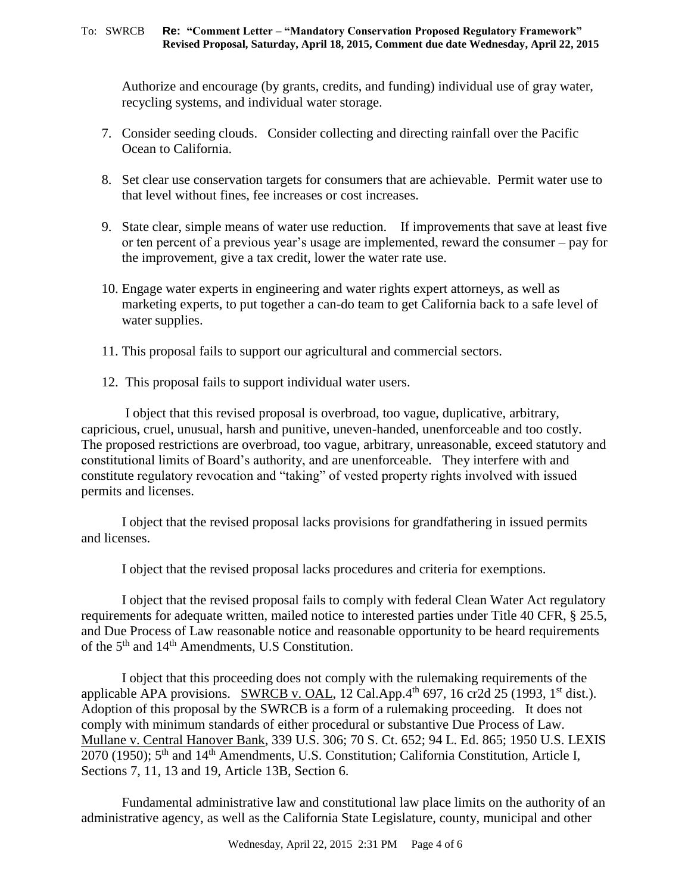Authorize and encourage (by grants, credits, and funding) individual use of gray water, recycling systems, and individual water storage.

- 7. Consider seeding clouds. Consider collecting and directing rainfall over the Pacific Ocean to California.
- 8. Set clear use conservation targets for consumers that are achievable. Permit water use to that level without fines, fee increases or cost increases.
- 9. State clear, simple means of water use reduction. If improvements that save at least five or ten percent of a previous year's usage are implemented, reward the consumer – pay for the improvement, give a tax credit, lower the water rate use.
- 10. Engage water experts in engineering and water rights expert attorneys, as well as marketing experts, to put together a can-do team to get California back to a safe level of water supplies.
- 11. This proposal fails to support our agricultural and commercial sectors.
- 12. This proposal fails to support individual water users.

I object that this revised proposal is overbroad, too vague, duplicative, arbitrary, capricious, cruel, unusual, harsh and punitive, uneven-handed, unenforceable and too costly. The proposed restrictions are overbroad, too vague, arbitrary, unreasonable, exceed statutory and constitutional limits of Board's authority, and are unenforceable. They interfere with and constitute regulatory revocation and "taking" of vested property rights involved with issued permits and licenses.

I object that the revised proposal lacks provisions for grandfathering in issued permits and licenses.

I object that the revised proposal lacks procedures and criteria for exemptions.

I object that the revised proposal fails to comply with federal Clean Water Act regulatory requirements for adequate written, mailed notice to interested parties under Title 40 CFR, § 25.5, and Due Process of Law reasonable notice and reasonable opportunity to be heard requirements of the 5th and 14th Amendments, U.S Constitution.

I object that this proceeding does not comply with the rulemaking requirements of the applicable APA provisions. SWRCB v. OAL,  $12$  Cal.App.4<sup>th</sup> 697, 16 cr2d 25 (1993, 1<sup>st</sup> dist.). Adoption of this proposal by the SWRCB is a form of a rulemaking proceeding. It does not comply with minimum standards of either procedural or substantive Due Process of Law. Mullane v. Central Hanover Bank, 339 U.S. 306; 70 S. Ct. 652; 94 L. Ed. 865; 1950 U.S. LEXIS 2070 (1950); 5<sup>th</sup> and 14<sup>th</sup> Amendments, U.S. Constitution; California Constitution, Article I, Sections 7, 11, 13 and 19, Article 13B, Section 6.

Fundamental administrative law and constitutional law place limits on the authority of an administrative agency, as well as the California State Legislature, county, municipal and other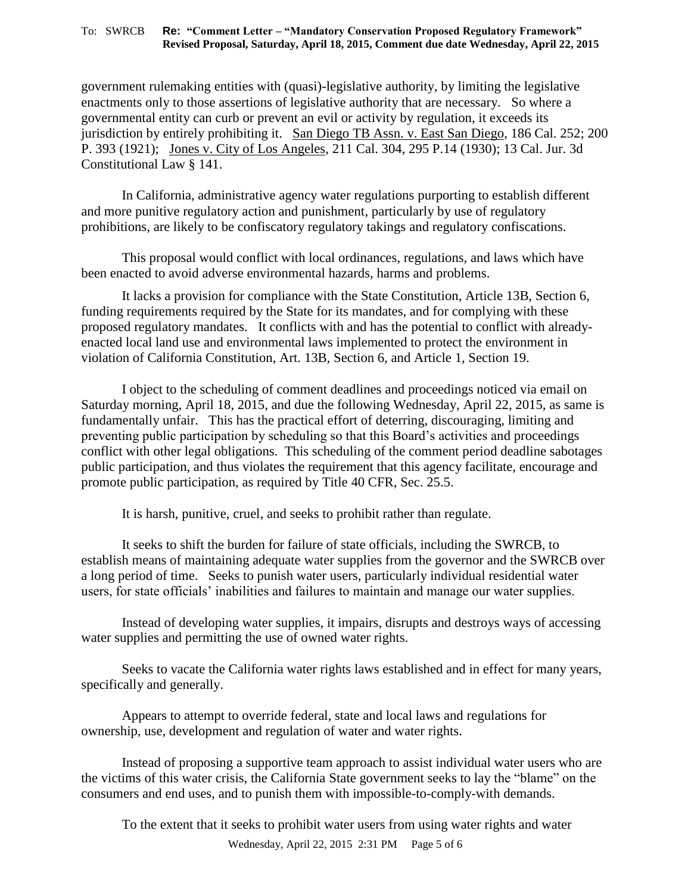government rulemaking entities with (quasi)-legislative authority, by limiting the legislative enactments only to those assertions of legislative authority that are necessary. So where a governmental entity can curb or prevent an evil or activity by regulation, it exceeds its jurisdiction by entirely prohibiting it. San Diego TB Assn. v. East San Diego, 186 Cal. 252; 200 P. 393 (1921); Jones v. City of Los Angeles, 211 Cal. 304, 295 P.14 (1930); 13 Cal. Jur. 3d Constitutional Law § 141.

In California, administrative agency water regulations purporting to establish different and more punitive regulatory action and punishment, particularly by use of regulatory prohibitions, are likely to be confiscatory regulatory takings and regulatory confiscations.

This proposal would conflict with local ordinances, regulations, and laws which have been enacted to avoid adverse environmental hazards, harms and problems.

It lacks a provision for compliance with the State Constitution, Article 13B, Section 6, funding requirements required by the State for its mandates, and for complying with these proposed regulatory mandates. It conflicts with and has the potential to conflict with alreadyenacted local land use and environmental laws implemented to protect the environment in violation of California Constitution, Art. 13B, Section 6, and Article 1, Section 19.

I object to the scheduling of comment deadlines and proceedings noticed via email on Saturday morning, April 18, 2015, and due the following Wednesday, April 22, 2015, as same is fundamentally unfair. This has the practical effort of deterring, discouraging, limiting and preventing public participation by scheduling so that this Board's activities and proceedings conflict with other legal obligations. This scheduling of the comment period deadline sabotages public participation, and thus violates the requirement that this agency facilitate, encourage and promote public participation, as required by Title 40 CFR, Sec. 25.5.

It is harsh, punitive, cruel, and seeks to prohibit rather than regulate.

It seeks to shift the burden for failure of state officials, including the SWRCB, to establish means of maintaining adequate water supplies from the governor and the SWRCB over a long period of time. Seeks to punish water users, particularly individual residential water users, for state officials' inabilities and failures to maintain and manage our water supplies.

Instead of developing water supplies, it impairs, disrupts and destroys ways of accessing water supplies and permitting the use of owned water rights.

Seeks to vacate the California water rights laws established and in effect for many years, specifically and generally.

Appears to attempt to override federal, state and local laws and regulations for ownership, use, development and regulation of water and water rights.

Instead of proposing a supportive team approach to assist individual water users who are the victims of this water crisis, the California State government seeks to lay the "blame" on the consumers and end uses, and to punish them with impossible-to-comply-with demands.

To the extent that it seeks to prohibit water users from using water rights and water